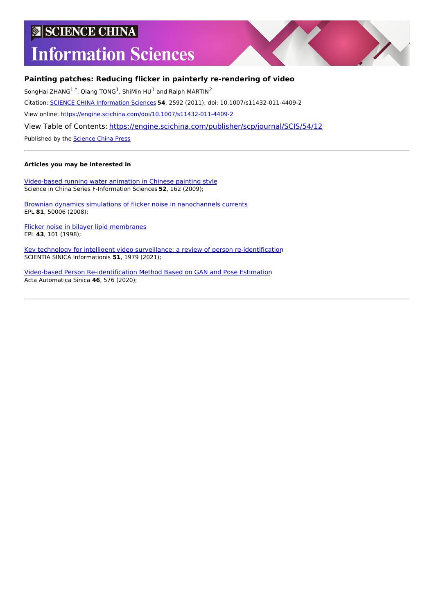# **SCIENCE CHINA**

# **Information Sciences**



### **Painting patches: Reducing flicker in painterly re-rendering of video**

SongHai ZHANG<sup>1,\*</sup>, Qiang TONG<sup>1</sup>, ShiMin HU<sup>1</sup> and Ralph MARTIN<sup>2</sup>

Citation: SCIENCE CHINA [Information](https://engine.scichina.com/publisher/scp/journal/SCIS) Sciences **54**, 2592 (2011); doi: 10.1007/s11432-011-4409-2

View online: <https://engine.scichina.com/doi/10.1007/s11432-011-4409-2>

View Table of Contents: <https://engine.scichina.com/publisher/scp/journal/SCIS/54/12>

Published by the [Science](https://engine.scichina.com/publisher/scp) China Press

#### **Articles you may be interested in**

[Video-based](https://engine.scichina.com/doi/10.1007/s11432-009-0035-7) running water animation in Chinese painting style Science in China Series F-Information Sciences **52**, 162 (2009);

Brownian dynamics simulations of flicker noise in [nanochannels](https://engine.scichina.com/doi/10.1209/0295-5075/81/50006) currents EPL **81**, 50006 (2008);

Flicker noise in bilayer lipid [membranes](https://engine.scichina.com/doi/10.1209/epl/i1998-00308-1) EPL **43**, 101 (1998);

Key technology for intelligent video surveillance: a review of person [re-identification](https://engine.scichina.com/doi/10.1360/SSI-2021-0211) SCIENTIA SINICA Informationis **51**, 1979 (2021);

Video-based Person [Re-identification](https://engine.scichina.com/doi/10.16383/j.aas.c180054) Method Based on GAN and Pose Estimation Acta Automatica Sinica **46**, 576 (2020);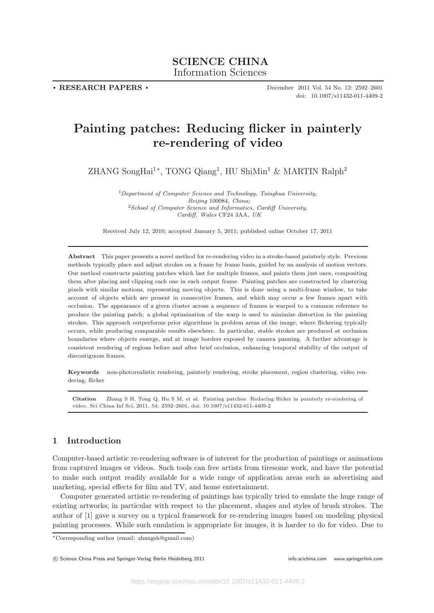**. RESEARCH PAPERS .**

December 2011 Vol. 54 No. 12: 2592–2601 doi: 10.1007/s11432-011-4409-2

## **Painting patches: Reducing flicker in painterly re-rendering of video**

ZHANG SongHai<sup>1∗</sup>, TONG Qiang<sup>1</sup>, HU ShiMin<sup>1</sup> & MARTIN Ralph<sup>2</sup>

 $1$ Department of Computer Science and Technology, Tsinghua University, Beijing 100084, China:  $2$ School of Computer Science and Informatics, Cardiff University, Cardiff, Wales CF24 3AA, UK

Received July 12, 2010; accepted January 5, 2011; published online October 17, 2011

**Abstract** This paper presents a novel method for re-rendering video in a stroke-based painterly style. Previous methods typically place and adjust strokes on a frame by frame basis, guided by an analysis of motion vectors. Our method constructs painting patches which last for multiple frames, and paints them just once, compositing them after placing and clipping each one in each output frame. Painting patches are constructed by clustering pixels with similar motions, representing moving objects. This is done using a multi-frame window, to take account of objects which are present in consecutive frames, and which may occur a few frames apart with occlusion. The appearance of a given cluster across a sequence of frames is warped to a common reference to produce the painting patch; a global optimization of the warp is used to minimize distortion in the painting strokes. This approach outperforms prior algorithms in problem areas of the image, where flickering typically occurs, while producing comparable results elsewhere. In particular, stable strokes are produced at occlusion boundaries where objects emerge, and at image borders exposed by camera panning. A further advantage is consistent rendering of regions before and after brief occlusion, enhancing temporal stability of the output of discontiguous frames.

**Keywords** non-photorealistic rendering, painterly rendering, stroke placement, region clustering, video rendering, flicker

**Citation** Zhang S H, Tong Q, Hu S M, et al. Painting patches: Reducing flicker in painterly re-rendering of video. Sci China Inf Sci, 2011, 54: 2592–2601, doi: 10.1007/s11432-011-4409-2

#### **1 Introduction**

Computer-based artistic re-rendering software is of interest for the production of paintings or animations from captured images or videos. Such tools can free artists from tiresome work, and have the potential to make such output readily available for a wide range of application areas such as advertising and marketing, special effects for film and TV, and home entertainment.

Computer generated artistic re-rendering of paintings has typically tried to emulate the huge range of existing artworks; in particular with respect to the placement, shapes and styles of brush strokes. The author of [1] gave a survey on a typical framework for re-rendering images based on modeling physical painting processes. While such emulation is appropriate for images, it is harder to do for video. Due to

<sup>∗</sup>Corresponding author (email: zhangsh@gmail.com)

C Science China Press and Springer-Verlag Berlin Heidelberg 2011 **info.scichina.com www.springerlink.com** www.springerlink.com www.springerlink.com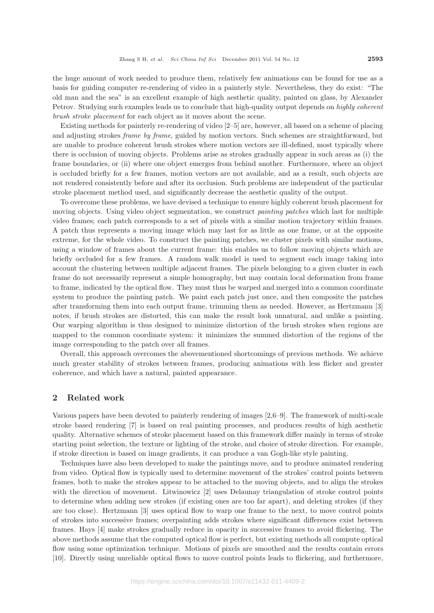the huge amount of work needed to produce them, relatively few animations can be found for use as a basis for guiding computer re-rendering of video in a painterly style. Nevertheless, they do exist: "The old man and the sea" is an excellent example of high aesthetic quality, painted on glass, by Alexander Petrov. Studying such examples leads us to conclude that high-quality output depends on *highly coherent brush stroke placement* for each object as it moves about the scene.

Existing methods for painterly re-rendering of video [2–5] are, however, all based on a scheme of placing and adjusting strokes *frame by frame*, guided by motion vectors. Such schemes are straightforward, but are unable to produce coherent brush strokes where motion vectors are ill-defined, most typically where there is occlusion of moving objects. Problems arise as strokes gradually appear in such areas as (i) the frame boundaries, or (ii) where one object emerges from behind another. Furthermore, where an object is occluded briefly for a few frames, motion vectors are not available, and as a result, such objects are not rendered consistently before and after its occlusion. Such problems are independent of the particular stroke placement method used, and significantly decrease the aesthetic quality of the output.

To overcome these problems, we have devised a technique to ensure highly coherent brush placement for moving objects. Using video object segmentation, we construct *painting patches* which last for multiple video frames; each patch corresponds to a set of pixels with a similar motion trajectory within frames. A patch thus represents a moving image which may last for as little as one frame, or at the opposite extreme, for the whole video. To construct the painting patches, we cluster pixels with similar motions, using a window of frames about the current frame: this enables us to follow moving objects which are briefly occluded for a few frames. A random walk model is used to segment each image taking into account the clustering between multiple adjacent frames. The pixels belonging to a given cluster in each frame do not necessarily represent a simple homography, but may contain local deformation from frame to frame, indicated by the optical flow. They must thus be warped and merged into a common coordinate system to produce the painting patch. We paint each patch just once, and then composite the patches after transforming them into each output frame, trimming them as needed. However, as Hertzmann [3] notes, if brush strokes are distorted, this can make the result look unnatural, and unlike a painting. Our warping algorithm is thus designed to minimize distortion of the brush strokes when regions are mapped to the common coordinate system: it minimizes the summed distortion of the regions of the image corresponding to the patch over all frames.

Overall, this approach overcomes the abovementioned shortcomings of previous methods. We achieve much greater stability of strokes between frames, producing animations with less flicker and greater coherence, and which have a natural, painted appearance.

#### **2 Related work**

Various papers have been devoted to painterly rendering of images [2,6–9]. The framework of multi-scale stroke based rendering [7] is based on real painting processes, and produces results of high aesthetic quality. Alternative schemes of stroke placement based on this framework differ mainly in terms of stroke starting point selection, the texture or lighting of the stroke, and choice of stroke direction. For example, if stroke direction is based on image gradients, it can produce a van Gogh-like style painting.

Techniques have also been developed to make the paintings move, and to produce animated rendering from video. Optical flow is typically used to determine movement of the strokes' control points between frames, both to make the strokes appear to be attached to the moving objects, and to align the strokes with the direction of movement. Litwinowicz [2] uses Delaunay triangulation of stroke control points to determine when adding new strokes (if existing ones are too far apart), and deleting strokes (if they are too close). Hertzmann [3] uses optical flow to warp one frame to the next, to move control points of strokes into successive frames; overpainting adds strokes where significant differences exist between frames. Hays [4] make strokes gradually reduce in opacity in successive frames to avoid flickering. The above methods assume that the computed optical flow is perfect, but existing methods all compute optical flow using some optimization technique. Motions of pixels are smoothed and the results contain errors [10]. Directly using unreliable optical flows to move control points leads to flickering, and furthermore,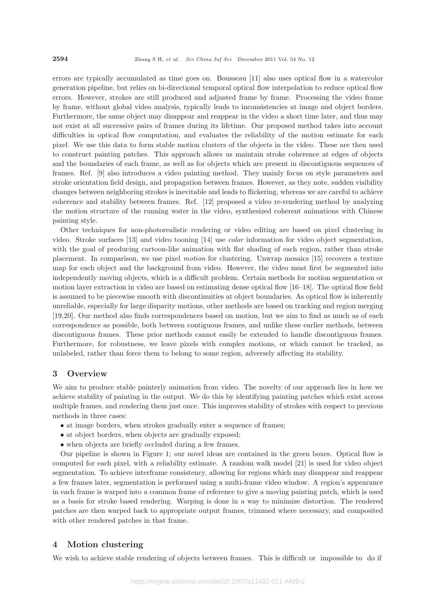errors are typically accumulated as time goes on. Bousseau [11] also uses optical flow in a watercolor generation pipeline, but relies on bi-directional temporal optical flow interpolation to reduce optical flow errors. However, strokes are still produced and adjusted frame by frame. Processing the video frame by frame, without global video analysis, typically leads to inconsistencies at image and object borders. Furthermore, the same object may disappear and reappear in the video a short time later, and thus may not exist at all successive pairs of frames during its lifetime. Our proposed method takes into account difficulties in optical flow computation, and evaluates the reliability of the motion estimate for each pixel. We use this data to form stable motion clusters of the objects in the video. These are then used to construct painting patches. This approach allows us maintain stroke coherence at edges of objects and the boundaries of each frame, as well as for objects which are present in discontiguous sequences of frames. Ref. [9] also introduces a video painting method. They mainly focus on style parameters and stroke orientation field design, and propagation between frames. However, as they note, sudden visibility changes between neighboring strokes is inevitable and leads to flickering, whereas we are careful to achieve coherence and stability between frames. Ref. [12] proposed a video re-rendering method by analyzing the motion structure of the running water in the video, synthesized coherent animations with Chinese painting style.

Other techniques for non-photorealistic rendering or video editing are based on pixel clustering in video. Stroke surfaces [13] and video tooning [14] use *color* information for video object segmentation, with the goal of producing cartoon-like animation with flat shading of each region, rather than stroke placement. In comparison, we use pixel *motion* for clustering. Unwrap mosaics [15] recovers a texture map for each object and the background from video. However, the video must first be segmented into independently moving objects, which is a difficult problem. Certain methods for motion segmentation or motion layer extraction in video are based on estimating dense optical flow [16–18]. The optical flow field is assumed to be piecewise smooth with discontinuities at object boundaries. As optical flow is inherently unreliable, especially for large disparity motions, other methods are based on tracking and region merging [19,20]. Our method also finds correspondences based on motion, but we aim to find as much as of each correspondence as possible, both between contiguous frames, and unlike these earlier methods, between discontiguous frames. These prior methods cannot easily be extended to handle discontiguous frames. Furthermore, for robustness, we leave pixels with complex motions, or which cannot be tracked, as unlabeled, rather than force them to belong to some region, adversely affecting its stability.

#### **3 Overview**

We aim to produce stable painterly animation from video. The novelty of our approach lies in how we achieve stability of painting in the output. We do this by identifying painting patches which exist across multiple frames, and rendering them just once. This improves stability of strokes with respect to previous methods in three cases:

- at image borders, when strokes gradually enter a sequence of frames;
- at object borders, when objects are gradually exposed;
- when objects are briefly occluded during a few frames.

Our pipeline is shown in Figure 1; our novel ideas are contained in the green boxes. Optical flow is computed for each pixel, with a reliability estimate. A random walk model [21] is used for video object segmentation. To achieve interframe consistency, allowing for regions which may disappear and reappear a few frames later, segmentation is performed using a multi-frame video window. A region's appearance in each frame is warped into a common frame of reference to give a moving painting patch, which is used as a basis for stroke based rendering. Warping is done in a way to minimize distortion. The rendered patches are then warped back to appropriate output frames, trimmed where necessary, and composited with other rendered patches in that frame.

#### **4 Motion clustering**

We wish to achieve stable rendering of objects between frames. This is difficult or impossible to do if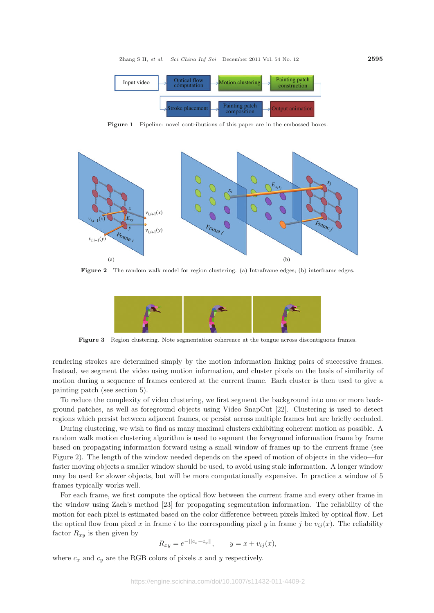

**Figure 1** Pipeline: novel contributions of this paper are in the embossed boxes.



**Figure 2** The random walk model for region clustering. (a) Intraframe edges; (b) interframe edges.



**Figure 3** Region clustering. Note segmentation coherence at the tongue across discontiguous frames.

rendering strokes are determined simply by the motion information linking pairs of successive frames. Instead, we segment the video using motion information, and cluster pixels on the basis of similarity of motion during a sequence of frames centered at the current frame. Each cluster is then used to give a painting patch (see section 5).

To reduce the complexity of video clustering, we first segment the background into one or more background patches, as well as foreground objects using Video SnapCut [22]. Clustering is used to detect regions which persist between adjacent frames, or persist across multiple frames but are briefly occluded.

During clustering, we wish to find as many maximal clusters exhibiting coherent motion as possible. A random walk motion clustering algorithm is used to segment the foreground information frame by frame based on propagating information forward using a small window of frames up to the current frame (see Figure 2). The length of the window needed depends on the speed of motion of objects in the video—for faster moving objects a smaller window should be used, to avoid using stale information. A longer window may be used for slower objects, but will be more computationally expensive. In practice a window of 5 frames typically works well.

For each frame, we first compute the optical flow between the current frame and every other frame in the window using Zach's method [23] for propagating segmentation information. The reliability of the motion for each pixel is estimated based on the color difference between pixels linked by optical flow. Let the optical flow from pixel x in frame i to the corresponding pixel y in frame j be  $v_{ij}(x)$ . The reliability factor  $R_{xy}$  is then given by

$$
R_{xy} = e^{-||c_x - c_y||}
$$
,  $y = x + v_{ij}(x)$ ,

where  $c_x$  and  $c_y$  are the RGB colors of pixels x and y respectively.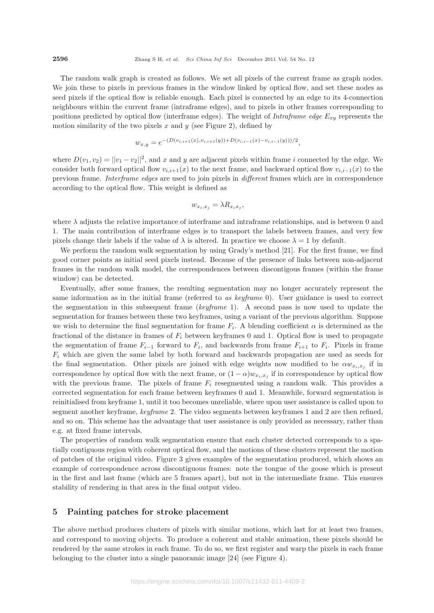The random walk graph is created as follows. We set all pixels of the current frame as graph nodes. We join these to pixels in previous frames in the window linked by optical flow, and set these nodes as seed pixels if the optical flow is reliable enough. Each pixel is connected by an edge to its 4-connection neighbours within the current frame (intraframe edges), and to pixels in other frames corresponding to positions predicted by optical flow (interframe edges). The weight of *Intraframe edge* E*xy* represents the motion similarity of the two pixels  $x$  and  $y$  (see Figure 2), defined by

$$
w_{x,y} = e^{-(D(v_{i,i+1}(x), v_{i,i+1}(y)) + D(v_{i,i-1}(x) - v_{i,i-1}(y)))/2},
$$

where  $D(v_1, v_2) = ||v_1 - v_2||^2$ , and x and y are adjacent pixels within frame i connected by the edge. We consider both forward optical flow  $v_{i,i+1}(x)$  to the next frame, and backward optical flow  $v_{i,i-1}(x)$  to the previous frame. *Interframe edges* are used to join pixels in *different* frames which are in correspondence according to the optical flow. This weight is defined as

$$
w_{x_i, x_j} = \lambda R_{x_i x_j},
$$

where  $\lambda$  adjusts the relative importance of interframe and intraframe relationships, and is between 0 and 1. The main contribution of interframe edges is to transport the labels between frames, and very few pixels change their labels if the value of  $\lambda$  is altered. In practice we choose  $\lambda = 1$  by default.

We perform the random walk segmentation by using Grady's method [21]. For the first frame, we find good corner points as initial seed pixels instead. Because of the presence of links between non-adjacent frames in the random walk model, the correspondences between discontigous frames (within the frame window) can be detected.

Eventually, after some frames, the resulting segmentation may no longer accurately represent the same information as in the initial frame (referred to *as keyframe* 0). User guidance is used to correct the segmentation in this subsequent frame (*keyframe* 1). A second pass is now used to update the segmentation for frames between these two keyframes, using a variant of the previous algorithm. Suppose we wish to determine the final segmentation for frame  $F_i$ . A blending coefficient  $\alpha$  is determined as the fractional of the distance in frames of F*<sup>i</sup>* between keyframes 0 and 1. Optical flow is used to propagate the segmentation of frame  $F_{i-1}$  forward to  $F_i$ , and backwards from frame  $F_{i+1}$  to  $F_i$ . Pixels in frame F*<sup>i</sup>* which are given the same label by both forward and backwards propagation are used as seeds for the final segmentation. Other pixels are joined with edge weights now modified to be  $\alpha w_{x_i,x_j}$  if in correspondence by optical flow with the next frame, or  $(1 - \alpha)w_{x_i,x_j}$  if in correspondence by optical flow with the previous frame. The pixels of frame  $F_i$  resegmented using a random walk. This provides a corrected segmentation for each frame between keyframes 0 and 1. Meanwhile, forward segmentation is reinitialised from keyframe 1, until it too becomes unreliable, where upon user assistance is called upon to segment another keyframe, *keyframe* 2. The video segments between keyframes 1 and 2 are then refined, and so on. This scheme has the advantage that user assistance is only provided as necessary, rather than e.g. at fixed frame intervals.

The properties of random walk segmentation ensure that each cluster detected corresponds to a spatially contiguous region with coherent optical flow, and the motions of these clusters represent the motion of patches of the original video. Figure 3 gives examples of the segmentation produced, which shows an example of correspondence across discontiguous frames: note the tongue of the goose which is present in the first and last frame (which are 5 frames apart), but not in the intermediate frame. This ensures stability of rendering in that area in the final output video.

#### **5 Painting patches for stroke placement**

The above method produces clusters of pixels with similar motions, which last for at least two frames, and correspond to moving objects. To produce a coherent and stable animation, these pixels should be rendered by the same strokes in each frame. To do so, we first register and warp the pixels in each frame belonging to the cluster into a single panoramic image [24] (see Figure 4).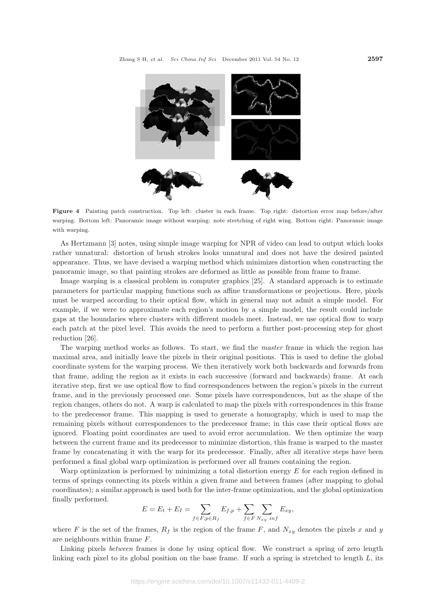

**Figure 4** Painting patch construction. Top left: cluster in each frame. Top right: distortion error map before/after warping. Bottom left: Panoramic image without warping: note stretching of right wing. Bottom right: Panoramic image with warping.

As Hertzmann [3] notes, using simple image warping for NPR of video can lead to output which looks rather unnatural: distortion of brush strokes looks unnatural and does not have the desired painted appearance. Thus, we have devised a warping method which minimizes distortion when constructing the panoramic image, so that painting strokes are deformed as little as possible from frame to frame.

Image warping is a classical problem in computer graphics [25]. A standard approach is to estimate parameters for particular mapping functions such as affine transformations or projections. Here, pixels must be warped according to their optical flow, which in general may not admit a simple model. For example, if we were to approximate each region's motion by a simple model, the result could include gaps at the boundaries where clusters with different models meet. Instead, we use optical flow to warp each patch at the pixel level. This avoids the need to perform a further post-processing step for ghost reduction [26].

The warping method works as follows. To start, we find the *master* frame in which the region has maximal area, and initially leave the pixels in their original positions. This is used to define the global coordinate system for the warping process. We then iteratively work both backwards and forwards from that frame, adding the region as it exists in each successive (forward and backwards) frame. At each iterative step, first we use optical flow to find correspondences between the region's pixels in the current frame, and in the previously processed one. Some pixels have correspondences, but as the shape of the region changes, others do not. A warp is calculated to map the pixels with correspondences in this frame to the predecessor frame. This mapping is used to generate a homography, which is used to map the remaining pixels without correspondences to the predecessor frame; in this case their optical flows are ignored. Floating point coordinates are used to avoid error accumulation. We then optimize the warp between the current frame and its predecessor to minimize distortion, this frame is warped to the master frame by concatenating it with the warp for its predecessor. Finally, after all iterative steps have been performed a final global warp optimization is performed over all frames containing the region.

Warp optimization is performed by minimizing a total distortion energy  $E$  for each region defined in terms of springs connecting its pixels within a given frame and between frames (after mapping to global coordinates); a similar approach is used both for the inter-frame optimization, and the global optimization finally performed.

$$
E = E_t + E_I = \sum_{f \in F, p \in R_f} E_{f, p} + \sum_{f \in F} \sum_{N_{xy} \ in f} E_{xy},
$$

where F is the set of the frames,  $R_f$  is the region of the frame F, and  $N_{xy}$  denotes the pixels x and y are neighbours within frame F.

Linking pixels *between* frames is done by using optical flow. We construct a spring of zero length linking each pixel to its global position on the base frame. If such a spring is stretched to length  $L$ , its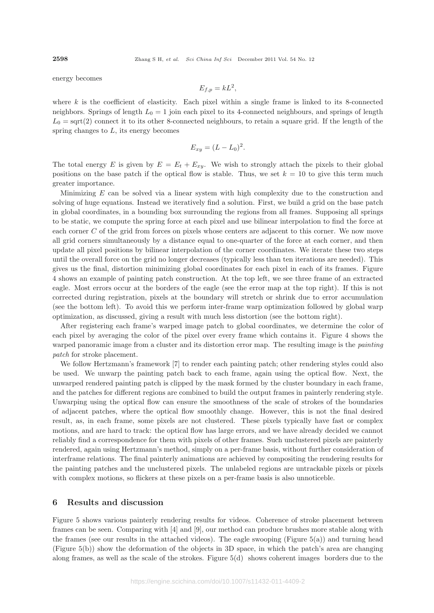energy becomes

$$
E_{f,p}=kL^2,
$$

where  $k$  is the coefficient of elasticity. Each pixel within a single frame is linked to its 8-connected neighbors. Springs of length  $L_0 = 1$  join each pixel to its 4-connected neighbours, and springs of length  $L_0 = \text{sqrt}(2)$  connect it to its other 8-connected neighbours, to retain a square grid. If the length of the spring changes to  $L$ , its energy becomes

$$
E_{xy} = (L - L_0)^2.
$$

The total energy E is given by  $E = E_t + E_{xy}$ . We wish to strongly attach the pixels to their global positions on the base patch if the optical flow is stable. Thus, we set  $k = 10$  to give this term much greater importance.

Minimizing E can be solved via a linear system with high complexity due to the construction and solving of huge equations. Instead we iteratively find a solution. First, we build a grid on the base patch in global coordinates, in a bounding box surrounding the regions from all frames. Supposing all springs to be static, we compute the spring force at each pixel and use bilinear interpolation to find the force at each corner C of the grid from forces on pixels whose centers are adjacent to this corner. We now move all grid corners simultaneously by a distance equal to one-quarter of the force at each corner, and then update all pixel positions by bilinear interpolation of the corner coordinates. We iterate these two steps until the overall force on the grid no longer decreases (typically less than ten iterations are needed). This gives us the final, distortion minimizing global coordinates for each pixel in each of its frames. Figure 4 shows an example of painting patch construction. At the top left, we see three frame of an extracted eagle. Most errors occur at the borders of the eagle (see the error map at the top right). If this is not corrected during registration, pixels at the boundary will stretch or shrink due to error accumulation (see the bottom left). To avoid this we perform inter-frame warp optimization followed by global warp optimization, as discussed, giving a result with much less distortion (see the bottom right).

After registering each frame's warped image patch to global coordinates, we determine the color of each pixel by averaging the color of the pixel over every frame which contains it. Figure 4 shows the warped panoramic image from a cluster and its distortion error map. The resulting image is the *painting patch* for stroke placement.

We follow Hertzmann's framework [7] to render each painting patch; other rendering styles could also be used. We unwarp the painting patch back to each frame, again using the optical flow. Next, the unwarped rendered painting patch is clipped by the mask formed by the cluster boundary in each frame, and the patches for different regions are combined to build the output frames in painterly rendering style. Unwarping using the optical flow can ensure the smoothness of the scale of strokes of the boundaries of adjacent patches, where the optical flow smoothly change. However, this is not the final desired result, as, in each frame, some pixels are not clustered. These pixels typically have fast or complex motions, and are hard to track: the optical flow has large errors, and we have already decided we cannot reliably find a correspondence for them with pixels of other frames. Such unclustered pixels are painterly rendered, again using Hertzmann's method, simply on a per-frame basis, without further consideration of interframe relations. The final painterly animations are achieved by compositing the rendering results for the painting patches and the unclustered pixels. The unlabeled regions are untrackable pixels or pixels with complex motions, so flickers at these pixels on a per-frame basis is also unnoticeble.

#### **6 Results and discussion**

Figure 5 shows various painterly rendering results for videos. Coherence of stroke placement between frames can be seen. Comparing with [4] and [9], our method can produce brushes more stable along with the frames (see our results in the attached videos). The eagle swooping (Figure 5(a)) and turning head (Figure 5(b)) show the deformation of the objects in 3D space, in which the patch's area are changing along frames, as well as the scale of the strokes. Figure  $5(d)$  shows coherent images borders due to the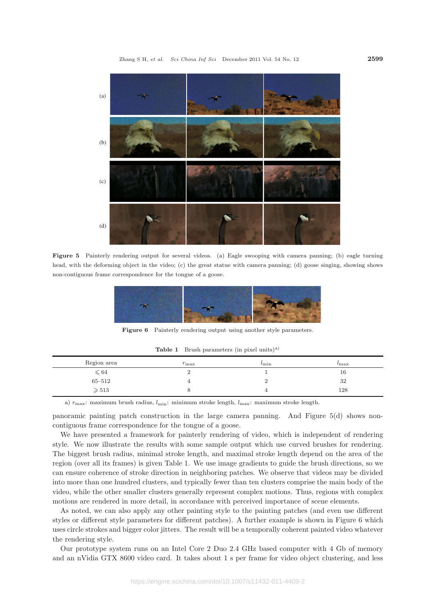

**Figure 5** Painterly rendering output for several videos. (a) Eagle swooping with camera panning; (b) eagle turning head, with the deforming object in the video; (c) the great statue with camera panning; (d) goose singing, showing shows non-contiguous frame correspondence for the tongue of a goose.



Figure 6 Painterly rendering output using another style parameters.

**Table 1** Brush parameters (in pixel units)a)

| Region area     | $r_{\rm max}$ | $\iota_{\min}$ | $\iota$ max |
|-----------------|---------------|----------------|-------------|
| $\leqslant 64$  |               |                | 16          |
| $65 - 512$      |               | ∸              | 32          |
| $\geqslant 513$ |               |                | 128         |

a) *r*max: maximum brush radius, *l*min: minimum stroke length, *l*max: maximum stroke length.

panoramic painting patch construction in the large camera panning. And Figure 5(d) shows noncontiguous frame correspondence for the tongue of a goose.

We have presented a framework for painterly rendering of video, which is independent of rendering style. We now illustrate the results with some sample output which use curved brushes for rendering. The biggest brush radius, minimal stroke length, and maximal stroke length depend on the area of the region (over all its frames) is given Table 1. We use image gradients to guide the brush directions, so we can ensure coherence of stroke direction in neighboring patches. We observe that videos may be divided into more than one hundred clusters, and typically fewer than ten clusters comprise the main body of the video, while the other smaller clusters generally represent complex motions. Thus, regions with complex motions are rendered in more detail, in accordance with perceived importance of scene elements.

As noted, we can also apply any other painting style to the painting patches (and even use different styles or different style parameters for different patches). A further example is shown in Figure 6 which uses circle strokes and bigger color jitters. The result will be a temporally coherent painted video whatever the rendering style.

Our prototype system runs on an Intel Core 2 Duo 2.4 GHz based computer with 4 Gb of memory and an nVidia GTX 8600 video card. It takes about 1 s per frame for video object clustering, and less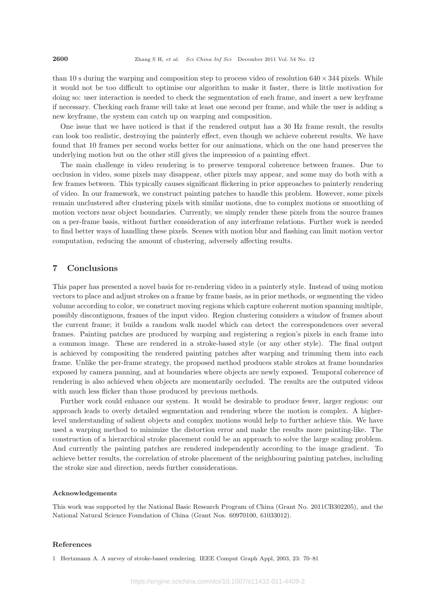than 10 s during the warping and composition step to process video of resolution 640*×* 344 pixels. While it would not be too difficult to optimise our algorithm to make it faster, there is little motivation for doing so: user interaction is needed to check the segmentation of each frame, and insert a new keyframe if necessary. Checking each frame will take at least one second per frame, and while the user is adding a new keyframe, the system can catch up on warping and composition.

One issue that we have noticed is that if the rendered output has a 30 Hz frame result, the results can look too realistic, destroying the painterly effect, even though we achieve coherent results. We have found that 10 frames per second works better for our animations, which on the one hand preserves the underlying motion but on the other still gives the impression of a painting effect.

The main challenge in video rendering is to preserve temporal coherence between frames. Due to occlusion in video, some pixels may disappear, other pixels may appear, and some may do both with a few frames between. This typically causes significant flickering in prior approaches to painterly rendering of video. In our framework, we construct painting patches to handle this problem. However, some pixels remain unclustered after clustering pixels with similar motions, due to complex motions or smoothing of motion vectors near object boundaries. Currently, we simply render these pixels from the source frames on a per-frame basis, without further consideration of any interframe relations. Further work is needed to find better ways of handling these pixels. Scenes with motion blur and flashing can limit motion vector computation, reducing the amount of clustering, adversely affecting results.

#### **7 Conclusions**

This paper has presented a novel basis for re-rendering video in a painterly style. Instead of using motion vectors to place and adjust strokes on a frame by frame basis, as in prior methods, or segmenting the video volume according to color, we construct moving regions which capture coherent motion spanning multiple, possibly discontiguous, frames of the input video. Region clustering considers a window of frames about the current frame; it builds a random walk model which can detect the correspondences over several frames. Painting patches are produced by warping and registering a region's pixels in each frame into a common image. These are rendered in a stroke-based style (or any other style). The final output is achieved by compositing the rendered painting patches after warping and trimming them into each frame. Unlike the per-frame strategy, the proposed method produces stable strokes at frame boundaries exposed by camera panning, and at boundaries where objects are newly exposed. Temporal coherence of rendering is also achieved when objects are momentarily occluded. The results are the outputed videos with much less flicker than those produced by previous methods.

Further work could enhance our system. It would be desirable to produce fewer, larger regions: our approach leads to overly detailed segmentation and rendering where the motion is complex. A higherlevel understanding of salient objects and complex motions would help to further achieve this. We have used a warping method to minimize the distortion error and make the results more painting-like. The construction of a hierarchical stroke placement could be an approach to solve the large scaling problem. And currently the painting patches are rendered independently according to the image gradient. To achieve better results, the correlation of stroke placement of the neighbouring painting patches, including the stroke size and direction, needs further considerations.

#### **Acknowledgements**

This work was supported by the National Basic Research Program of China (Grant No. 2011CB302205), and the National Natural Science Foundation of China (Grant Nos. 60970100, 61033012).

#### **References**

1 Hertzmann A. A survey of stroke-based rendering. IEEE Comput Graph Appl, 2003, 23: 70–81